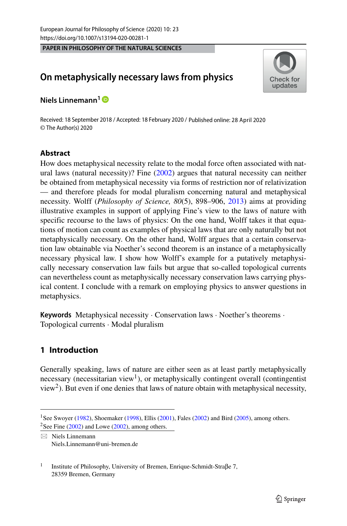**PAPER IN PHILOSOPHY OF THE NATURAL SCIENCES**

# **On metaphysically necessary laws from physics**



**Niels Linnemann1**

Received: 18 September 2018 / Accepted: 18 February 2020 / Published online: 28 April 2020© The Author(s) 2020

## **Abstract**

How does metaphysical necessity relate to the modal force often associated with natural laws (natural necessity)? Fine [\(2002\)](#page-12-0) argues that natural necessity can neither be obtained from metaphysical necessity via forms of restriction nor of relativization — and therefore pleads for modal pluralism concerning natural and metaphysical necessity. Wolff (*Philosophy of Science, 80*(5), 898–906, [2013\)](#page-12-1) aims at providing illustrative examples in support of applying Fine's view to the laws of nature with specific recourse to the laws of physics: On the one hand, Wolff takes it that equations of motion can count as examples of physical laws that are only naturally but not metaphysically necessary. On the other hand, Wolff argues that a certain conservation law obtainable via Noether's second theorem is an instance of a metaphysically necessary physical law. I show how Wolff's example for a putatively metaphysically necessary conservation law fails but argue that so-called topological currents can nevertheless count as metaphysically necessary conservation laws carrying physical content. I conclude with a remark on employing physics to answer questions in metaphysics.

**Keywords** Metaphysical necessity · Conservation laws · Noether's theorems · Topological currents · Modal pluralism

# **1 Introduction**

Generally speaking, laws of nature are either seen as at least partly metaphysically necessary (necessitarian view<sup>[1](#page-0-0)</sup>), or metaphysically contingent overall (contingentist view<sup>2</sup>). But even if one denies that laws of nature obtain with metaphysical necessity,

<span id="page-0-0"></span><sup>&</sup>lt;sup>1</sup>See Swoyer [\(1982\)](#page-12-2), Shoemaker [\(1998\)](#page-12-3), Ellis [\(2001\)](#page-12-4), Fales [\(2002\)](#page-12-5) and Bird [\(2005\)](#page-12-6), among others. <sup>2</sup>See Fine  $(2002)$  and Lowe  $(2002)$ , among others.

<span id="page-0-1"></span> $\boxtimes$  Niels Linnemann [Niels.Linnemann@uni-bremen.de](mailto: Niels.Linnemann@uni-bremen.de)

<sup>&</sup>lt;sup>1</sup> Institute of Philosophy, University of Bremen, Enrique-Schmidt-Straβe 7, 28359 Bremen, Germany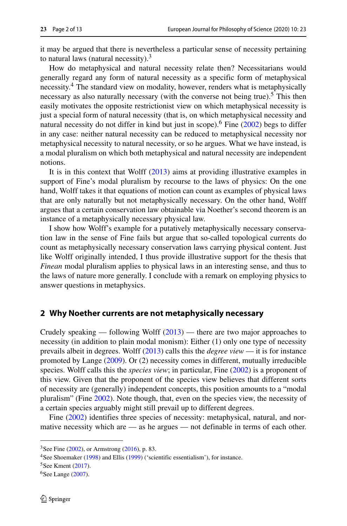it may be argued that there is nevertheless a particular sense of necessity pertaining to natural laws (natural necessity). $3$ 

How do metaphysical and natural necessity relate then? Necessitarians would generally regard any form of natural necessity as a specific form of metaphysical necessity.<sup>[4](#page-1-1)</sup> The standard view on modality, however, renders what is metaphysically necessary as also naturally necessary (with the converse not being true).<sup>5</sup> This then easily motivates the opposite restrictionist view on which metaphysical necessity is just a special form of natural necessity (that is, on which metaphysical necessity and natural necessity do not differ in kind but just in scope).<sup>6</sup> Fine  $(2002)$  begs to differ in any case: neither natural necessity can be reduced to metaphysical necessity nor metaphysical necessity to natural necessity, or so he argues. What we have instead, is a modal pluralism on which both metaphysical and natural necessity are independent notions.

It is in this context that Wolff [\(2013\)](#page-12-1) aims at providing illustrative examples in support of Fine's modal pluralism by recourse to the laws of physics: On the one hand, Wolff takes it that equations of motion can count as examples of physical laws that are only naturally but not metaphysically necessary. On the other hand, Wolff argues that a certain conservation law obtainable via Noether's second theorem is an instance of a metaphysically necessary physical law.

I show how Wolff's example for a putatively metaphysically necessary conservation law in the sense of Fine fails but argue that so-called topological currents do count as metaphysically necessary conservation laws carrying physical content. Just like Wolff originally intended, I thus provide illustrative support for the thesis that *Finean* modal pluralism applies to physical laws in an interesting sense, and thus to the laws of nature more generally. I conclude with a remark on employing physics to answer questions in metaphysics.

#### **2 Why Noether currents are not metaphysically necessary**

Crudely speaking — following Wolff  $(2013)$  — there are two major approaches to necessity (in addition to plain modal monism): Either (1) only one type of necessity prevails albeit in degrees. Wolff [\(2013\)](#page-12-1) calls this the *degree view* — it is for instance promoted by Lange [\(2009\)](#page-12-8). Or (2) necessity comes in different, mutually irreducible species. Wolff calls this the *species view*; in particular, Fine [\(2002\)](#page-12-0) is a proponent of this view. Given that the proponent of the species view believes that different sorts of necessity are (generally) independent concepts, this position amounts to a "modal pluralism" (Fine [2002\)](#page-12-0). Note though, that, even on the species view, the necessity of a certain species arguably might still prevail up to different degrees.

Fine [\(2002\)](#page-12-0) identifies three species of necessity: metaphysical, natural, and normative necessity which are — as he argues — not definable in terms of each other.

 $3$ See Fine [\(2002\)](#page-12-0), or Armstrong [\(2016\)](#page-12-9), p. 83.

<span id="page-1-0"></span><sup>&</sup>lt;sup>4</sup>See Shoemaker [\(1998\)](#page-12-3) and Ellis [\(1999\)](#page-12-10) ('scientific essentialism'), for instance.

<span id="page-1-1"></span> $5$ See Kment [\(2017\)](#page-12-11).

<span id="page-1-3"></span><span id="page-1-2"></span><sup>&</sup>lt;sup>6</sup>See Lange [\(2007\)](#page-12-12).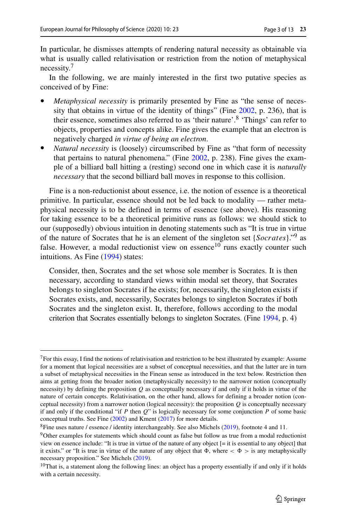In particular, he dismisses attempts of rendering natural necessity as obtainable via what is usually called relativisation or restriction from the notion of metaphysical necessity.[7](#page-2-0)

In the following, we are mainly interested in the first two putative species as conceived of by Fine:

- *Metaphysical necessity* is primarily presented by Fine as "the sense of necessity that obtains in virtue of the identity of things" (Fine [2002,](#page-12-0) p. 236), that is their essence, sometimes also referred to as 'their nature'.[8](#page-2-1) 'Things' can refer to objects, properties and concepts alike. Fine gives the example that an electron is negatively charged *in virtue of being an electron*.
- *Natural necessity* is (loosely) circumscribed by Fine as "that form of necessity that pertains to natural phenomena." (Fine [2002,](#page-12-0) p. 238). Fine gives the example of a billiard ball hitting a (resting) second one in which case it is *naturally necessary* that the second billiard ball moves in response to this collision.

Fine is a non-reductionist about essence, i.e. the notion of essence is a theoretical primitive. In particular, essence should not be led back to modality — rather metaphysical necessity is to be defined in terms of essence (see above). His reasoning for taking essence to be a theoretical primitive runs as follows: we should stick to our (supposedly) obvious intuition in denoting statements such as "It is true in virtue of the nature of Socrates that he is an element of the singleton set {*Socrates*}."[9](#page-2-2) as false. However, a modal reductionist view on essence<sup>[10](#page-2-3)</sup> runs exactly counter such intuitions. As Fine [\(1994\)](#page-12-13) states:

Consider, then, Socrates and the set whose sole member is Socrates. It is then necessary, according to standard views within modal set theory, that Socrates belongs to singleton Socrates if he exists; for, necessarily, the singleton exists if Socrates exists, and, necessarily, Socrates belongs to singleton Socrates if both Socrates and the singleton exist. It, therefore, follows according to the modal criterion that Socrates essentially belongs to singleton Socrates. (Fine [1994,](#page-12-13) p. 4)

<span id="page-2-0"></span> $7$ For this essay, I find the notions of relativisation and restriction to be best illustrated by example: Assume for a moment that logical necessities are a subset of conceptual necessities, and that the latter are in turn a subset of metaphysical necessities in the Finean sense as introduced in the text below. Restriction then aims at getting from the broader notion (metaphysically necessity) to the narrower notion (conceptually necessity) by defining the proposition *Q* as conceptually necessary if and only if it holds in virtue of the nature of certain concepts. Relativisation, on the other hand, allows for defining a broader notion (conceptual necessity) from a narrower notion (logical necessity): the proposition  $Q$  is conceptually necessary if and only if the conditional "if *P* then *Q*" is logically necessary for some conjunction *P* of some basic conceptual truths. See Fine [\(2002\)](#page-12-0) and Kment [\(2017\)](#page-12-11) for more details.

<sup>&</sup>lt;sup>8</sup>Fine uses nature / essence / identity interchangeably. See also Michels [\(2019\)](#page-12-14), footnote 4 and 11.

<span id="page-2-2"></span><span id="page-2-1"></span><sup>9</sup>Other examples for statements which should count as false but follow as true from a modal reductionist view on essence include: "It is true in virtue of the nature of any object [= it is essential to any object] that it exists." or "It is true in virtue of the nature of any object that  $\Phi$ , where  $\langle \Phi \rangle$  is any metaphysically necessary proposition." See Michels [\(2019\)](#page-12-14).

<span id="page-2-3"></span><sup>&</sup>lt;sup>10</sup>That is, a statement along the following lines: an object has a property essentially if and only if it holds with a certain necessity.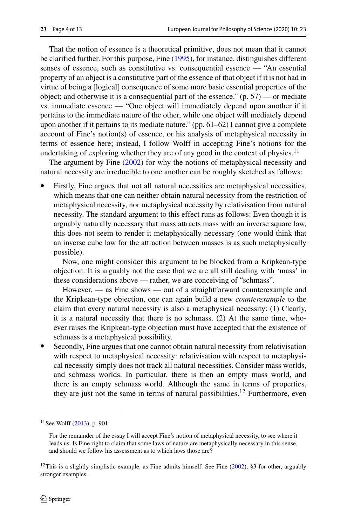That the notion of essence is a theoretical primitive, does not mean that it cannot be clarified further. For this purpose, Fine [\(1995\)](#page-12-15), for instance, distinguishes different senses of essence, such as constitutive vs. consequential essence — "An essential property of an object is a constitutive part of the essence of that object if it is not had in virtue of being a [logical] consequence of some more basic essential properties of the object; and otherwise it is a consequential part of the essence." (p. 57) — or mediate vs. immediate essence — "One object will immediately depend upon another if it pertains to the immediate nature of the other, while one object will mediately depend upon another if it pertains to its mediate nature." (pp. 61–62) I cannot give a complete account of Fine's notion(s) of essence, or his analysis of metaphysical necessity in terms of essence here; instead, I follow Wolff in accepting Fine's notions for the undertaking of exploring whether they are of any good in the context of physics.<sup>[11](#page-3-0)</sup>

The argument by Fine [\(2002\)](#page-12-0) for why the notions of metaphysical necessity and natural necessity are irreducible to one another can be roughly sketched as follows:

• Firstly, Fine argues that not all natural necessities are metaphysical necessities, which means that one can neither obtain natural necessity from the restriction of metaphysical necessity, nor metaphysical necessity by relativisation from natural necessity. The standard argument to this effect runs as follows: Even though it is arguably naturally necessary that mass attracts mass with an inverse square law, this does not seem to render it metaphysically necessary (one would think that an inverse cube law for the attraction between masses is as such metaphysically possible).

Now, one might consider this argument to be blocked from a Kripkean-type objection: It is arguably not the case that we are all still dealing with 'mass' in these considerations above — rather, we are conceiving of "schmass".

However, — as Fine shows — out of a straightforward counterexample and the Kripkean-type objection, one can again build a new *counterexample* to the claim that every natural necessity is also a metaphysical necessity: (1) Clearly, it is a natural necessity that there is no schmass. (2) At the same time, whoever raises the Kripkean-type objection must have accepted that the existence of schmass is a metaphysical possibility.

Secondly, Fine argues that one cannot obtain natural necessity from relativisation with respect to metaphysical necessity: relativisation with respect to metaphysical necessity simply does not track all natural necessities. Consider mass worlds, and schmass worlds. In particular, there is then an empty mass world, and there is an empty schmass world. Although the same in terms of properties, they are just not the same in terms of natural possibilities.<sup>12</sup> Furthermore, even

 $11$ See Wolff [\(2013\)](#page-12-1), p. 901:

<span id="page-3-0"></span>For the remainder of the essay I will accept Fine's notion of metaphysical necessity, to see where it leads us. Is Fine right to claim that some laws of nature are metaphysically necessary in this sense, and should we follow his assessment as to which laws those are?

<span id="page-3-1"></span><sup>&</sup>lt;sup>12</sup>This is a slightly simplistic example, as Fine admits himself. See Fine [\(2002\)](#page-12-0), §3 for other, arguably stronger examples.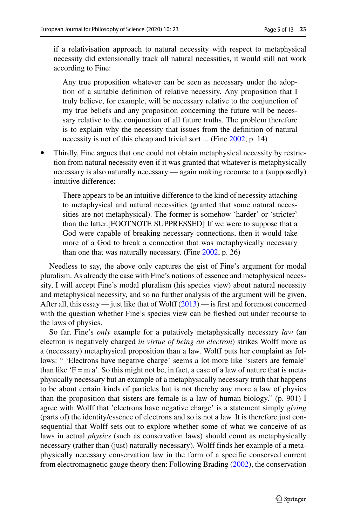if a relativisation approach to natural necessity with respect to metaphysical necessity did extensionally track all natural necessities, it would still not work according to Fine:

Any true proposition whatever can be seen as necessary under the adoption of a suitable definition of relative necessity. Any proposition that I truly believe, for example, will be necessary relative to the conjunction of my true beliefs and any proposition concerning the future will be necessary relative to the conjunction of all future truths. The problem therefore is to explain why the necessity that issues from the definition of natural necessity is not of this cheap and trivial sort ... (Fine [2002,](#page-12-0) p. 14)

• Thirdly, Fine argues that one could not obtain metaphysical necessity by restriction from natural necessity even if it was granted that whatever is metaphysically necessary is also naturally necessary — again making recourse to a (supposedly) intuitive difference:

There appears to be an intuitive difference to the kind of necessity attaching to metaphysical and natural necessities (granted that some natural necessities are not metaphysical). The former is somehow 'harder' or 'stricter' than the latter.[FOOTNOTE SUPPRESSED] If we were to suppose that a God were capable of breaking necessary connections, then it would take more of a God to break a connection that was metaphysically necessary than one that was naturally necessary. (Fine [2002,](#page-12-0) p. 26)

Needless to say, the above only captures the gist of Fine's argument for modal pluralism. As already the case with Fine's notions of essence and metaphysical necessity, I will accept Fine's modal pluralism (his species view) about natural necessity and metaphysical necessity, and so no further analysis of the argument will be given. After all, this essay — just like that of Wolff  $(2013)$  — is first and foremost concerned with the question whether Fine's species view can be fleshed out under recourse to the laws of physics.

So far, Fine's *only* example for a putatively metaphysically necessary *law* (an electron is negatively charged *in virtue of being an electron*) strikes Wolff more as a (necessary) metaphysical proposition than a law. Wolff puts her complaint as follows: " 'Electrons have negative charge' seems a lot more like 'sisters are female' than like  $F = m a'$ . So this might not be, in fact, a case of a law of nature that is metaphysically necessary but an example of a metaphysically necessary truth that happens to be about certain kinds of particles but is not thereby any more a law of physics than the proposition that sisters are female is a law of human biology." (p. 901) I agree with Wolff that 'electrons have negative charge' is a statement simply *giving* (parts of) the identity/essence of electrons and so is not a law. It is therefore just consequential that Wolff sets out to explore whether some of what we conceive of as laws in actual *physics* (such as conservation laws) should count as metaphysically necessary (rather than (just) naturally necessary). Wolff finds her example of a metaphysically necessary conservation law in the form of a specific conserved current from electromagnetic gauge theory then: Following Brading [\(2002\)](#page-12-16), the conservation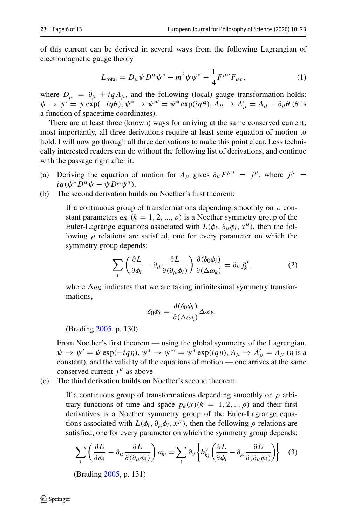of this current can be derived in several ways from the following Lagrangian of electromagnetic gauge theory

<span id="page-5-0"></span>
$$
L_{\text{total}} = D_{\mu} \psi D^{\mu} \psi^* - m^2 \psi \psi^* - \frac{1}{4} F^{\mu \nu} F_{\mu \nu}, \tag{1}
$$

where  $D_{\mu} = \partial_{\mu} + iqA_{\mu}$ , and the following (local) gauge transformation holds:  $\psi \to \psi' = \psi \exp(-i q\theta), \psi^* \to \psi^{*'} = \psi^* \exp(i q\theta), A_\mu \to A'_\mu = A_\mu + \partial_\mu \theta$  (*θ* is a function of spacetime coordinates).

There are at least three (known) ways for arriving at the same conserved current; most importantly, all three derivations require at least some equation of motion to hold. I will now go through all three derivations to make this point clear. Less technically interested readers can do without the following list of derivations, and continue with the passage right after it.

- (a) Deriving the equation of motion for  $A_\mu$  gives  $\partial_\mu F^{\mu\nu} = j^\mu$ , where  $j^\mu$  $iq(\psi^*D^{\mu}\psi - \psi D^{\mu}\psi^*)$ .
- (b) The second derivation builds on Noether's first theorem:

If a continuous group of transformations depending smoothly on *ρ* constant parameters  $\omega_k$  ( $k = 1, 2, ..., \rho$ ) is a Noether symmetry group of the Euler-Lagrange equations associated with  $L(\phi_i, \partial_\mu \phi_i, x^\mu)$ , then the following *ρ* relations are satisfied, one for every parameter on which the symmetry group depends:

$$
\sum_{i} \left( \frac{\partial L}{\partial \phi_i} - \partial_\mu \frac{\partial L}{\partial (\partial_\mu \phi_i)} \right) \frac{\partial (\delta_0 \phi_i)}{\partial (\Delta \omega_k)} = \partial_\mu j_k^\mu, \tag{2}
$$

where  $\Delta \omega_k$  indicates that we are taking infinitesimal symmetry transformations,

$$
\delta_0 \phi_i = \frac{\partial (\delta_0 \phi_i)}{\partial (\Delta \omega_k)} \Delta \omega_k.
$$

(Brading [2005,](#page-12-17) p. 130)

From Noether's first theorem — using the global symmetry of the Lagrangian,  $ψ → ψ' = ψ \exp(-iqη), ψ^* → ψ^{*'} = ψ^* \exp(iqη), A<sub>μ</sub> → A'<sub>μ</sub> = A<sub>μ</sub> (η is a$ constant), and the validity of the equations of motion — one arrives at the same conserved current  $j^{\mu}$  as above.

(c) The third derivation builds on Noether's second theorem:

If a continuous group of transformations depending smoothly on *ρ* arbitrary functions of time and space  $p_k(x)(k = 1, 2, \ldots, \rho)$  and their first derivatives is a Noether symmetry group of the Euler-Lagrange equations associated with  $L(\phi_i, \partial_\mu \phi_i, x^\mu)$ , then the following  $\rho$  relations are satisfied, one for every parameter on which the symmetry group depends:

$$
\sum_{i} \left( \frac{\partial L}{\partial \phi_i} - \partial_{\mu} \frac{\partial L}{\partial (\partial_{\mu} \phi_i)} \right) a_{k_i} = \sum_{i} \partial_{\nu} \left\{ b_{k_i}^{\nu} \left( \frac{\partial L}{\partial \phi_i} - \partial_{\mu} \frac{\partial L}{\partial (\partial_{\mu} \phi_i)} \right) \right\} \tag{3}
$$

(Brading [2005,](#page-12-17) p. 131)

 $\mathcal{D}$  Springer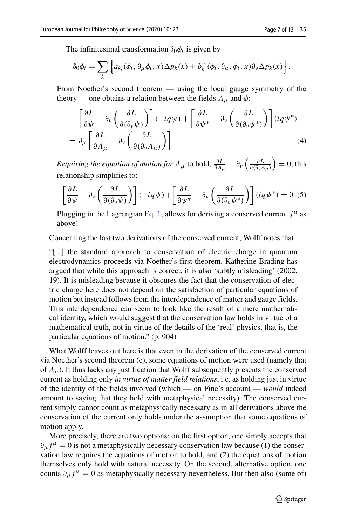The infinitesimal transformation  $\delta_0 \phi_i$  is given by

$$
\delta_0 \phi_i = \sum_k \left\{ a_{k_i}(\phi_i, \partial_\mu \phi_i, x) \Delta p_k(x) + b_{k_i}^\nu(\phi_i, \partial_\mu, \phi_i, x) \partial_\nu \Delta p_k(x) \right\}.
$$

From Noether's second theorem — using the local gauge symmetry of the theory — one obtains a relation between the fields  $A_{\mu}$  and  $\phi$ :

<span id="page-6-0"></span>
$$
\begin{aligned}\n&\left[\frac{\partial L}{\partial \psi} - \partial_{\nu} \left(\frac{\partial L}{\partial (\partial_{\nu} \psi)}\right)\right] (-iq\psi) + \left[\frac{\partial L}{\partial \psi^*} - \partial_{\nu} \left(\frac{\partial L}{\partial (\partial_{\nu} \psi^*)}\right)\right] (iq\psi^*) \\
&= \partial_{\mu} \left[\frac{\partial L}{\partial A_{\mu}} - \partial_{\nu} \left(\frac{\partial L}{\partial (\partial_{\nu} A_{\mu})}\right)\right]\n\end{aligned} \tag{4}
$$

*Requiring the equation of motion for*  $A_\mu$  to hold,  $\frac{\partial L}{\partial A_\mu} - \partial_\nu \left( \frac{\partial L}{\partial (\partial_\nu A_\mu)} \right) = 0$ , this relationship simplifies to:

$$
\left[\frac{\partial L}{\partial \psi} - \partial_{\nu} \left(\frac{\partial L}{\partial (\partial_{\nu} \psi)}\right)\right] (-iq\psi) + \left[\frac{\partial L}{\partial \psi^*} - \partial_{\nu} \left(\frac{\partial L}{\partial (\partial_{\nu} \psi^*)}\right)\right] (iq\psi^*) = 0
$$
 (5)

Plugging in the Lagrangian Eq. [1,](#page-5-0) allows for deriving a conserved current *j<sup>μ</sup>* as above!

Concerning the last two derivations of the conserved current, Wolff notes that

"[...] the standard approach to conservation of electric charge in quantum electrodynamics proceeds via Noether's first theorem. Katherine Brading has argued that while this approach is correct, it is also 'subtly misleading' (2002, 19). It is misleading because it obscures the fact that the conservation of electric charge here does not depend on the satisfaction of particular equations of motion but instead follows from the interdependence of matter and gauge fields. This interdependence can seem to look like the result of a mere mathematical identity, which would suggest that the conservation law holds in virtue of a mathematical truth, not in virtue of the details of the 'real' physics, that is, the particular equations of motion." (p. 904)

What Wolff leaves out here is that even in the derivation of the conserved current via Noether's second theorem (c), some equations of motion were used (namely that of *Aμ*). It thus lacks any justification that Wolff subsequently presents the conserved current as holding only *in virtue of matter field relations*, i.e. as holding just in virtue of the identity of the fields involved (which — on Fine's account — *would* indeed amount to saying that they hold with metaphysical necessity). The conserved current simply cannot count as metaphysically necessary as in all derivations above the conservation of the current only holds under the assumption that some equations of motion apply.

More precisely, there are two options: on the first option, one simply accepts that  $\partial_\mu j^\mu = 0$  is not a metaphysically necessary conservation law because (1) the conservation law requires the equations of motion to hold, and (2) the equations of motion themselves only hold with natural necessity. On the second, alternative option, one counts  $\partial_{\mu} j^{\mu} = 0$  as metaphysically necessary nevertheless. But then also (some of)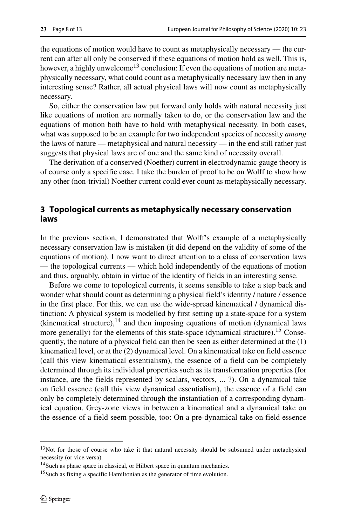the equations of motion would have to count as metaphysically necessary — the current can after all only be conserved if these equations of motion hold as well. This is, however, a highly unwelcome<sup>13</sup> conclusion: If even the equations of motion are metaphysically necessary, what could count as a metaphysically necessary law then in any interesting sense? Rather, all actual physical laws will now count as metaphysically necessary.

So, either the conservation law put forward only holds with natural necessity just like equations of motion are normally taken to do, or the conservation law and the equations of motion both have to hold with metaphysical necessity. In both cases, what was supposed to be an example for two independent species of necessity *among* the laws of nature — metaphysical and natural necessity — in the end still rather just suggests that physical laws are of one and the same kind of necessity overall.

The derivation of a conserved (Noether) current in electrodynamic gauge theory is of course only a specific case. I take the burden of proof to be on Wolff to show how any other (non-trivial) Noether current could ever count as metaphysically necessary.

## **3 Topological currents as metaphysically necessary conservation laws**

In the previous section, I demonstrated that Wolff's example of a metaphysically necessary conservation law is mistaken (it did depend on the validity of some of the equations of motion). I now want to direct attention to a class of conservation laws — the topological currents — which hold independently of the equations of motion and thus, arguably, obtain in virtue of the identity of fields in an interesting sense.

Before we come to topological currents, it seems sensible to take a step back and wonder what should count as determining a physical field's identity / nature / essence in the first place. For this, we can use the wide-spread kinematical / dynamical distinction: A physical system is modelled by first setting up a state-space for a system (kinematical structure),  $^{14}$  and then imposing equations of motion (dynamical laws more generally) for the elements of this state-space (dynamical structure).<sup>[15](#page-7-2)</sup> Consequently, the nature of a physical field can then be seen as either determined at the (1) kinematical level, or at the (2) dynamical level. On a kinematical take on field essence (call this view kinematical essentialism), the essence of a field can be completely determined through its individual properties such as its transformation properties (for instance, are the fields represented by scalars, vectors, ... ?). On a dynamical take on field essence (call this view dynamical essentialism), the essence of a field can only be completely determined through the instantiation of a corresponding dynamical equation. Grey-zone views in between a kinematical and a dynamical take on the essence of a field seem possible, too: On a pre-dynamical take on field essence

<span id="page-7-0"></span><sup>&</sup>lt;sup>13</sup>Not for those of course who take it that natural necessity should be subsumed under metaphysical necessity (or vice versa).

<sup>14</sup>Such as phase space in classical, or Hilbert space in quantum mechanics.

<span id="page-7-2"></span><span id="page-7-1"></span><sup>&</sup>lt;sup>15</sup>Such as fixing a specific Hamiltonian as the generator of time evolution.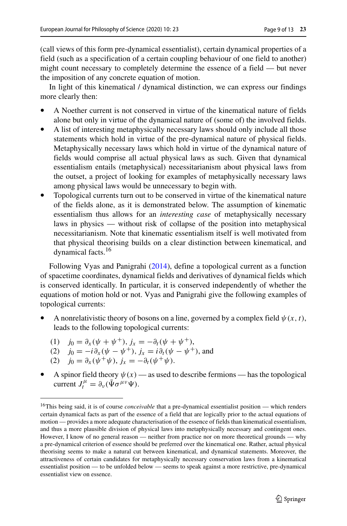(call views of this form pre-dynamical essentialist), certain dynamical properties of a field (such as a specification of a certain coupling behaviour of one field to another) might count necessary to completely determine the essence of a field — but never the imposition of any concrete equation of motion.

In light of this kinematical / dynamical distinction, we can express our findings more clearly then:

- A Noether current is not conserved in virtue of the kinematical nature of fields alone but only in virtue of the dynamical nature of (some of) the involved fields.
- A list of interesting metaphysically necessary laws should only include all those statements which hold in virtue of the pre-dynamical nature of physical fields. Metaphysically necessary laws which hold in virtue of the dynamical nature of fields would comprise all actual physical laws as such. Given that dynamical essentialism entails (metaphysical) necessitarianism about physical laws from the outset, a project of looking for examples of metaphysically necessary laws among physical laws would be unnecessary to begin with.
- Topological currents turn out to be conserved in virtue of the kinematical nature of the fields alone, as it is demonstrated below. The assumption of kinematic essentialism thus allows for an *interesting case* of metaphysically necessary laws in physics — without risk of collapse of the position into metaphysical necessitarianism. Note that kinematic essentialism itself is well motivated from that physical theorising builds on a clear distinction between kinematical, and dynamical facts.[16](#page-8-0)

Following Vyas and Panigrahi [\(2014\)](#page-12-18), define a topological current as a function of spacetime coordinates, dynamical fields and derivatives of dynamical fields which is conserved identically. In particular, it is conserved independently of whether the equations of motion hold or not. Vyas and Panigrahi give the following examples of topological currents:

- A nonrelativistic theory of bosons on a line, governed by a complex field  $\psi(x, t)$ , leads to the following topological currents:
	- (1)  $j_0 = \partial_x (\psi + \psi^+), j_x = -\partial_t (\psi + \psi^+),$
	- (2)  $j_0 = -i \partial_x (\psi \psi^+), j_x = i \partial_t (\psi \psi^+),$  and
	- (2)  $j_0 = \partial_x(\psi^+ \psi), j_x = -\partial_t(\psi^+ \psi).$
- A spinor field theory  $\psi(x)$  as used to describe fermions has the topological current  $J_t^{\mu} = \partial_{\nu}(\bar{\Psi} \sigma^{\mu \nu} \Psi)$ .

<span id="page-8-0"></span><sup>&</sup>lt;sup>16</sup>This being said, it is of course *conceivable* that a pre-dynamical essentialist position — which renders certain dynamical facts as part of the essence of a field that are logically prior to the actual equations of motion — provides a more adequate characterisation of the essence of fields than kinematical essentialism, and thus a more plausible division of physical laws into metaphysically necessary and contingent ones. However, I know of no general reason — neither from practice nor on more theoretical grounds — why a pre-dynamical criterion of essence should be preferred over the kinematical one. Rather, actual physical theorising seems to make a natural cut between kinematical, and dynamical statements. Moreover, the attractiveness of certain candidates for metaphysically necessary conservation laws from a kinematical essentialist position — to be unfolded below — seems to speak against a more restrictive, pre-dynamical essentialist view on essence.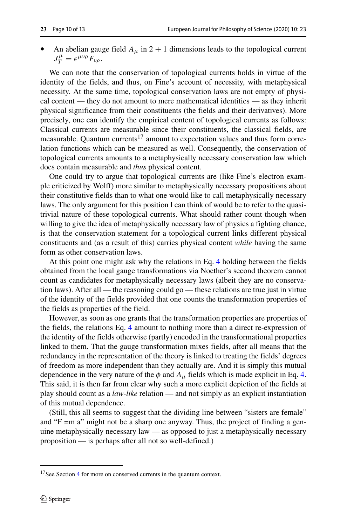An abelian gauge field  $A_{\mu}$  in 2 + 1 dimensions leads to the topological current  $J_T^{\mu} = \epsilon^{\mu\nu\rho} F_{\nu\rho}$ .

We can note that the conservation of topological currents holds in virtue of the identity of the fields, and thus, on Fine's account of necessity, with metaphysical necessity. At the same time, topological conservation laws are not empty of physical content — they do not amount to mere mathematical identities — as they inherit physical significance from their constituents (the fields and their derivatives). More precisely, one can identify the empirical content of topological currents as follows: Classical currents are measurable since their constituents, the classical fields, are measurable. Quantum currents<sup>[17](#page-9-0)</sup> amount to expectation values and thus form correlation functions which can be measured as well. Consequently, the conservation of topological currents amounts to a metaphysically necessary conservation law which does contain measurable and *thus* physical content.

One could try to argue that topological currents are (like Fine's electron example criticized by Wolff) more similar to metaphysically necessary propositions about their constitutive fields than to what one would like to call metaphysically necessary laws. The only argument for this position I can think of would be to refer to the quasitrivial nature of these topological currents. What should rather count though when willing to give the idea of metaphysically necessary law of physics a fighting chance, is that the conservation statement for a topological current links different physical constituents and (as a result of this) carries physical content *while* having the same form as other conservation laws.

At this point one might ask why the relations in Eq. [4](#page-6-0) holding between the fields obtained from the local gauge transformations via Noether's second theorem cannot count as candidates for metaphysically necessary laws (albeit they are no conservation laws). After all — the reasoning could go — these relations are true just in virtue of the identity of the fields provided that one counts the transformation properties of the fields as properties of the field.

However, as soon as one grants that the transformation properties are properties of the fields, the relations Eq. [4](#page-6-0) amount to nothing more than a direct re-expression of the identity of the fields otherwise (partly) encoded in the transformational properties linked to them. That the gauge transformation mixes fields, after all means that the redundancy in the representation of the theory is linked to treating the fields' degrees of freedom as more independent than they actually are. And it is simply this mutual dependence in the very nature of the  $\phi$  and  $A_\mu$  fields which is made explicit in Eq. [4.](#page-6-0) This said, it is then far from clear why such a more explicit depiction of the fields at play should count as a *law-like* relation — and not simply as an explicit instantiation of this mutual dependence.

(Still, this all seems to suggest that the dividing line between "sisters are female" and "F =m a" might not be a sharp one anyway. Thus, the project of finding a genuine metaphysically necessary law — as opposed to just a metaphysically necessary proposition — is perhaps after all not so well-defined.)

<span id="page-9-0"></span><sup>&</sup>lt;sup>17</sup>See Section [4](#page-10-0) for more on conserved currents in the quantum context.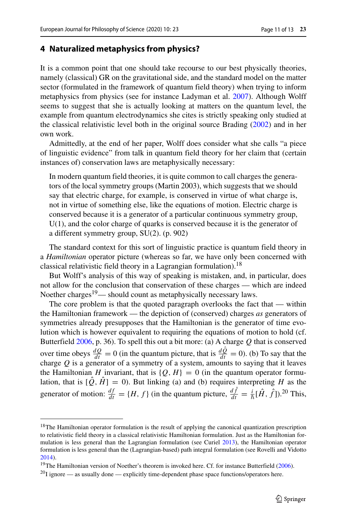#### <span id="page-10-0"></span>**4 Naturalized metaphysics from physics?**

It is a common point that one should take recourse to our best physically theories, namely (classical) GR on the gravitational side, and the standard model on the matter sector (formulated in the framework of quantum field theory) when trying to inform metaphysics from physics (see for instance Ladyman et al. [2007\)](#page-12-19). Although Wolff seems to suggest that she is actually looking at matters on the quantum level, the example from quantum electrodynamics she cites is strictly speaking only studied at the classical relativistic level both in the original source Brading [\(2002\)](#page-12-16) and in her own work.

Admittedly, at the end of her paper, Wolff does consider what she calls "a piece of linguistic evidence" from talk in quantum field theory for her claim that (certain instances of) conservation laws are metaphysically necessary:

In modern quantum field theories, it is quite common to call charges the generators of the local symmetry groups (Martin 2003), which suggests that we should say that electric charge, for example, is conserved in virtue of what charge is, not in virtue of something else, like the equations of motion. Electric charge is conserved because it is a generator of a particular continuous symmetry group,  $U(1)$ , and the color charge of quarks is conserved because it is the generator of a different symmetry group, SU(2). (p. 902)

The standard context for this sort of linguistic practice is quantum field theory in a *Hamiltonian* operator picture (whereas so far, we have only been concerned with classical relativistic field theory in a Lagrangian formulation).<sup>[18](#page-10-1)</sup>

But Wolff's analysis of this way of speaking is mistaken, and, in particular, does not allow for the conclusion that conservation of these charges — which are indeed Noether charges<sup>19</sup>— should count as metaphysically necessary laws.

The core problem is that the quoted paragraph overlooks the fact that — within the Hamiltonian framework — the depiction of (conserved) charges *as* generators of symmetries already presupposes that the Hamiltonian is the generator of time evolution which is however equivalent to requiring the equations of motion to hold (cf. Butterfield [2006,](#page-12-20) p. 36). To spell this out a bit more: (a) A charge *Q* that is conserved over time obeys  $\frac{dQ}{dt} = 0$  (in the quantum picture, that is  $\frac{dQ}{dt} = 0$ ). (b) To say that the charge  $Q$  is a generator of a symmetry of a system, amounts to saying that it leaves the Hamiltonian *H* invariant, that is  $\{Q, H\} = 0$  (in the quantum operator formulation, that is  $[\hat{Q}, \hat{H}] = 0$ ). But linking (a) and (b) requires interpreting *H* as the generator of motion:  $\frac{df}{dt} = \{H, f\}$  (in the quantum picture,  $\frac{df}{dt} = \frac{i}{\hbar}[\hat{H}, \hat{f}].^{20}$  $\frac{df}{dt} = \frac{i}{\hbar}[\hat{H}, \hat{f}].^{20}$  $\frac{df}{dt} = \frac{i}{\hbar}[\hat{H}, \hat{f}].^{20}$  This,

<span id="page-10-1"></span><sup>&</sup>lt;sup>18</sup>The Hamiltonian operator formulation is the result of applying the canonical quantization prescription to relativistic field theory in a classical relativistic Hamiltonian formulation. Just as the Hamiltonian formulation is less general than the Lagrangian formulation (see Curiel [2013\)](#page-12-21), the Hamiltonian operator formulation is less general than the (Lagrangian-based) path integral formulation (see Rovelli and Vidotto [2014\)](#page-12-22).

<sup>&</sup>lt;sup>19</sup>The Hamiltonian version of Noether's theorem is invoked here. Cf. for instance Butterfield [\(2006\)](#page-12-20).

<span id="page-10-3"></span><span id="page-10-2"></span> $^{20}$ I ignore — as usually done — explicitly time-dependent phase space functions/operators here.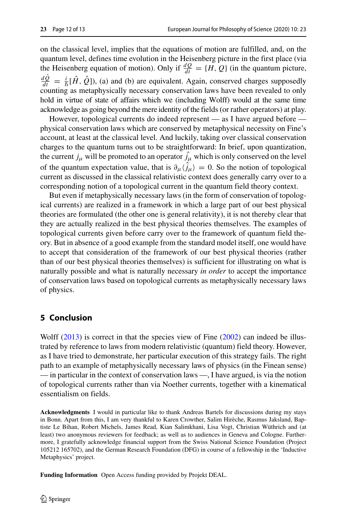on the classical level, implies that the equations of motion are fulfilled, and, on the quantum level, defines time evolution in the Heisenberg picture in the first place (via the Heisenberg equation of motion). Only if  $\frac{dQ}{dt} = \{H, Q\}$  (in the quantum picture,  $\frac{dQ}{dt} = \frac{i}{\hbar} [\hat{H}, \hat{Q}]$ , (a) and (b) are equivalent. Again, conserved charges supposedly counting as metaphysically necessary conservation laws have been revealed to only hold in virtue of state of affairs which we (including Wolff) would at the same time acknowledge as going beyond the mere identity of the fields (or rather operators) at play.

However, topological currents do indeed represent — as I have argued before physical conservation laws which are conserved by metaphysical necessity on Fine's account, at least at the classical level. And luckily, taking over classical conservation charges to the quantum turns out to be straightforward: In brief, upon quantization, the current  $j_{\mu}$  will be promoted to an operator  $j_{\mu}$  which is only conserved on the level of the quantum expectation value, that is  $\partial_{\mu} \langle j_{\mu} \rangle = 0$ . So the notion of topological current as discussed in the classical relativistic context does generally carry over to a corresponding notion of a topological current in the quantum field theory context.

But even if metaphysically necessary laws (in the form of conservation of topological currents) are realized in a framework in which a large part of our best physical theories are formulated (the other one is general relativity), it is not thereby clear that they are actually realized in the best physical theories themselves. The examples of topological currents given before carry over to the framework of quantum field theory. But in absence of a good example from the standard model itself, one would have to accept that consideration of the framework of our best physical theories (rather than of our best physical theories themselves) is sufficient for illustrating on what is naturally possible and what is naturally necessary *in order* to accept the importance of conservation laws based on topological currents as metaphysically necessary laws of physics.

# **5 Conclusion**

Wolff  $(2013)$  is correct in that the species view of Fine  $(2002)$  can indeed be illustrated by reference to laws from modern relativistic (quantum) field theory. However, as I have tried to demonstrate, her particular execution of this strategy fails. The right path to an example of metaphysically necessary laws of physics (in the Finean sense) — in particular in the context of conservation laws —, I have argued, is via the notion of topological currents rather than via Noether currents, together with a kinematical essentialism on fields.

**Acknowledgments** I would in particular like to thank Andreas Bartels for discussions during my stays in Bonn. Apart from this, I am very thankful to Karen Crowther, Salim Hireche, Rasmus Jaksland, Bap- ` tiste Le Bihan, Robert Michels, James Read, Kian Salimkhani, Lisa Vogt, Christian Wüthrich and (at least) two anonymous reviewers for feedback; as well as to audiences in Geneva and Cologne. Furthermore, I gratefully acknowledge financial support from the Swiss National Science Foundation (Project 105212 165702), and the German Research Foundation (DFG) in course of a fellowship in the 'Inductive Metaphysics' project.

**Funding Information** Open Access funding provided by Projekt DEAL.